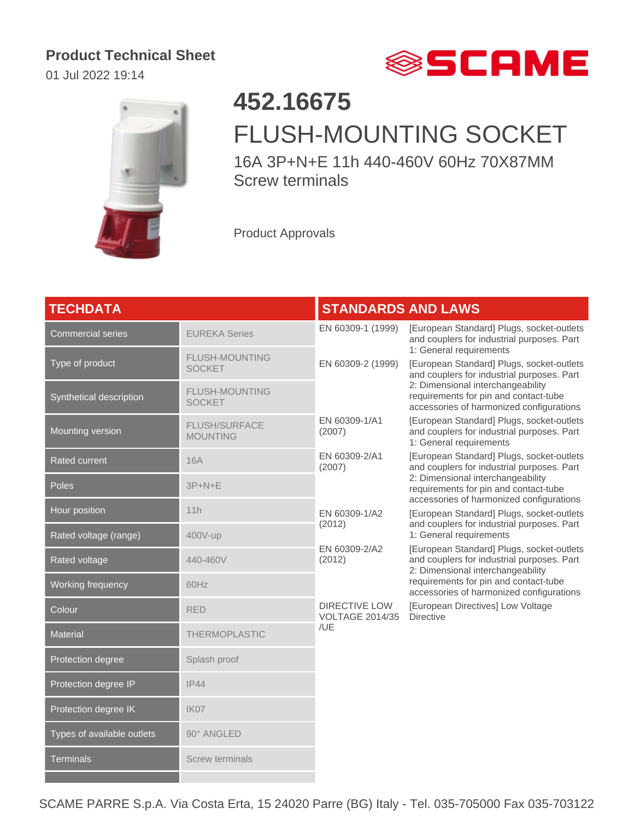## **Product Technical Sheet**

01 Jul 2022 19:14





## **452.16675** FLUSH-MOUNTING SOCKET

16A 3P+N+E 11h 440-460V 60Hz 70X87MM Screw terminals

Product Approvals

| <b>TECHDATA</b>            |                                         | <b>STANDARDS AND LAWS</b>                                                                                                                                                                                                                    |                                                                                                                                                                                                                                                                                                                                         |
|----------------------------|-----------------------------------------|----------------------------------------------------------------------------------------------------------------------------------------------------------------------------------------------------------------------------------------------|-----------------------------------------------------------------------------------------------------------------------------------------------------------------------------------------------------------------------------------------------------------------------------------------------------------------------------------------|
| Commercial series          | <b>EUREKA Series</b>                    | EN 60309-1 (1999)                                                                                                                                                                                                                            | [European Standard] Plugs, socket-outlets<br>and couplers for industrial purposes. Part<br>1: General requirements                                                                                                                                                                                                                      |
| Type of product            | FLUSH-MOUNTING<br><b>SOCKET</b>         | EN 60309-2 (1999)                                                                                                                                                                                                                            | [European Standard] Plugs, socket-outlets<br>and couplers for industrial purposes. Part                                                                                                                                                                                                                                                 |
| Synthetical description    | <b>FLUSH-MOUNTING</b><br><b>SOCKET</b>  |                                                                                                                                                                                                                                              | 2: Dimensional interchangeability<br>requirements for pin and contact-tube<br>accessories of harmonized configurations                                                                                                                                                                                                                  |
| Mounting version           | <b>FLUSH/SURFACE</b><br><b>MOUNTING</b> | EN 60309-1/A1<br>(2007)                                                                                                                                                                                                                      | [European Standard] Plugs, socket-outlets<br>and couplers for industrial purposes. Part<br>1: General requirements                                                                                                                                                                                                                      |
| <b>Rated current</b>       | <b>16A</b>                              | [European Standard] Plugs, socket-outlets<br>EN 60309-2/A1<br>and couplers for industrial purposes. Part<br>(2007)<br>2: Dimensional interchangeability<br>requirements for pin and contact-tube<br>accessories of harmonized configurations |                                                                                                                                                                                                                                                                                                                                         |
| Poles                      | $3P + N + E$                            |                                                                                                                                                                                                                                              |                                                                                                                                                                                                                                                                                                                                         |
| Hour position              | 11h                                     | EN 60309-1/A2<br>(2012)                                                                                                                                                                                                                      | [European Standard] Plugs, socket-outlets<br>and couplers for industrial purposes. Part<br>1: General requirements<br>[European Standard] Plugs, socket-outlets<br>and couplers for industrial purposes. Part<br>2: Dimensional interchangeability<br>requirements for pin and contact-tube<br>accessories of harmonized configurations |
| Rated voltage (range)      | 400V-up                                 |                                                                                                                                                                                                                                              |                                                                                                                                                                                                                                                                                                                                         |
| Rated voltage              | 440-460V                                | EN 60309-2/A2<br>(2012)                                                                                                                                                                                                                      |                                                                                                                                                                                                                                                                                                                                         |
| Working frequency          | 60Hz                                    |                                                                                                                                                                                                                                              |                                                                                                                                                                                                                                                                                                                                         |
| Colour                     | <b>RED</b>                              | <b>DIRECTIVE LOW</b><br><b>VOLTAGE 2014/35</b><br>/UE                                                                                                                                                                                        | [European Directives] Low Voltage<br><b>Directive</b>                                                                                                                                                                                                                                                                                   |
| <b>Material</b>            | <b>THERMOPLASTIC</b>                    |                                                                                                                                                                                                                                              |                                                                                                                                                                                                                                                                                                                                         |
| Protection degree          | Splash proof                            |                                                                                                                                                                                                                                              |                                                                                                                                                                                                                                                                                                                                         |
| Protection degree IP       | IP44                                    |                                                                                                                                                                                                                                              |                                                                                                                                                                                                                                                                                                                                         |
| Protection degree IK       | IK07                                    |                                                                                                                                                                                                                                              |                                                                                                                                                                                                                                                                                                                                         |
| Types of available outlets | 90° ANGLED                              |                                                                                                                                                                                                                                              |                                                                                                                                                                                                                                                                                                                                         |
| <b>Terminals</b>           | <b>Screw terminals</b>                  |                                                                                                                                                                                                                                              |                                                                                                                                                                                                                                                                                                                                         |